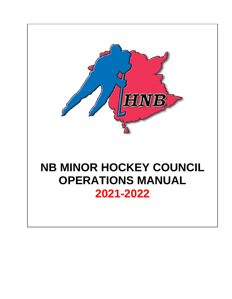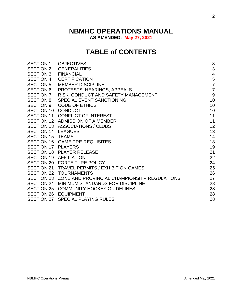# **NBMHC OPERATIONS MANUAL**

**AS AMENDED: May 27, 2021**

# **TABLE of CONTENTS**

| <b>SECTION 1</b>   | <b>OBJECTIVES</b>                                       | 3              |
|--------------------|---------------------------------------------------------|----------------|
| <b>SECTION 2</b>   | <b>GENERALITIES</b>                                     | 3              |
| <b>SECTION 3</b>   | <b>FINANCIAL</b>                                        | $\overline{4}$ |
| <b>SECTION 4</b>   | <b>CERTIFICATION</b>                                    | 5              |
| <b>SECTION 5</b>   | <b>MEMBER DISCIPLINE</b>                                | $\overline{7}$ |
| <b>SECTION 6</b>   | PROTESTS, HEARINGS, APPEALS                             | $\overline{7}$ |
| <b>SECTION 7</b>   | RISK, CONDUCT AND SAFETY MANAGEMENT                     | 9              |
| <b>SECTION 8</b>   | <b>SPECIAL EVENT SANCTIONING</b>                        | 10             |
| <b>SECTION 9</b>   | <b>CODE OF ETHICS</b>                                   | 10             |
| <b>SECTION 10</b>  | <b>CONDUCT</b>                                          | 10             |
| <b>SECTION 11</b>  | <b>CONFLICT OF INTEREST</b>                             | 11             |
|                    | SECTION 12 ADMISSION OF A MEMBER                        | 11             |
|                    | SECTION 13 ASSOCIATIONS / CLUBS                         | 12             |
| SECTION 14 LEAGUES |                                                         | 13             |
| SECTION 15 TEAMS   |                                                         | 14             |
|                    | SECTION 16 GAME PRE-REQUISITES                          | 18             |
| SECTION 17 PLAYERS |                                                         | 19             |
|                    | SECTION 18 PLAYER RELEASE                               | 21             |
|                    | SECTION 19 AFFILIATION                                  | 22             |
|                    | SECTION 20 FORFEITURE POLICY                            | 24             |
|                    | SECTION 21 TRAVEL PERMITS / EXHIBITION GAMES            | 25             |
|                    | SECTION 22 TOURNAMENTS                                  | 26             |
|                    | SECTION 23 ZONE AND PROVINCIAL CHAMPIONSHIP REGULATIONS | 27             |
|                    | SECTION 24 MINIMUM STANDARDS FOR DISCIPLINE             | 28             |
|                    | SECTION 25 COMMUNITY HOCKEY GUIDELINES                  | 28             |
|                    | SECTION 26 EQUIPMENT                                    | 28             |
|                    | SECTION 27 SPECIAL PLAYING RULES                        | 28             |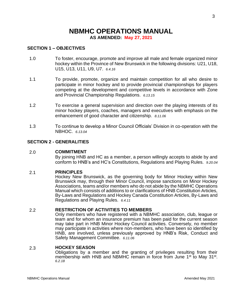## **NBMHC OPERATIONS MANUAL AS AMENDED: May 27, 2021**

#### **SECTION 1 – OBJECTIVES**

- 1.0 To foster, encourage, promote and improve all male and female organized minor hockey within the Province of New Brunswick in the following divisions: U21, U18, U15, U13, U11, U9, U7. *6.4.16*
- 1.1 To provide, promote, organize and maintain competition for all who desire to participate in minor hockey and to provide provincial championships for players competing at the development and competitive levels in accordance with Zone and Provincial Championship Regulations. *6.13.15*
- 1.2 To exercise a general supervision and direction over the playing interests of its minor hockey players, coaches, managers and executives with emphasis on the enhancement of good character and citizenship. *8.11.06*
- 1.3 To continue to develop a Minor Council Officials' Division in co-operation with the NBHOC. *6.13.04*

#### **SECTION 2 - GENERALITIES**

#### 2.0 **COMMITMENT**

By joining HNB and HC as a member, a person willingly accepts to abide by and conform to HNB's and HC's Constitutions, Regulations and Playing Rules. *9.20.04*

#### 2.1 **PRINCIPLES**

Hockey New Brunswick, as the governing body for Minor Hockey within New Brunswick may, through their Minor Council, impose sanctions on Minor Hockey Associations, teams and/or members who do not abide by the NBMHC Operations Manual which consists of additions to or clarifications of HNB Constitution Articles, By-Laws and Regulations and Hockey Canada Constitution Articles, By-Laws and Regulations and Playing Rules. *6.4.11*

#### 2.2 **RESTRICTION OF ACTIVITIES TO MEMBERS**

Only members who have registered with a NBMHC association, club, league or team and for whom an insurance premium has been paid for the current season may take part in HNB Minor Hockey Council activities. Conversely, no member may participate in activities where non-members, who have been so identified by HNB, are involved, unless previously approved by HNB's Risk, Conduct and Safety Management Committee. *6.11.06*

#### 2.3 **HOCKEY SEASON**

Obligations by a member and the granting of privileges resulting from their membership with HNB and NBMHC remain in force from June 1<sup>st</sup> to May 31<sup>st</sup>. *6.2.18*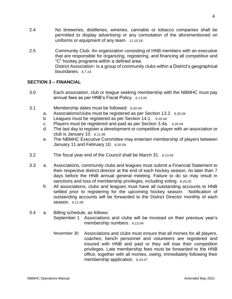- 2.4 No breweries, distilleries, wineries, cannabis or tobacco companies shall be permitted to display advertising or any connotation of the aforementioned on uniforms or equipment of any team. *11.10.18*
- 2.5 Community Club- An organization consisting of HNB members with an executive that are responsible for organizing, registering, and financing all competitive and "C" hockey programs within a defined area. District Association- Is a group of community clubs within a District's geographical boundaries. *6.7.14*

#### **SECTION 3 – FINANCIAL**

- 3.0 Each association, club or league seeking membership with the NBMHC must pay annual fees as per HNB's Fiscal Policy. *6.13.04*
- 3.1 Membership dates must be followed: *9.20.04*
	- a. Associations/clubs must be registered as per Section 13.2. *9.20.04*
	- b. Leagues must be registered as per Section 14.1. *9.20.04*
	- c. Players must be registered and paid as per Section 3.4a. *9.20.04*
	- d. The last day to register a development or competitive player with an association or club is January 10. *6.11.06*
	- e. The NBMHC Executive Committee may entertain membership of players between January 11 and February 10. *9.20.04*
- 3.2 The fiscal year end of the Council shall be March 31. *6.13.04*
- 3.3 a. Associations, community clubs and leagues must submit a Financial Statement to their respective district director at the end of each hockey season, no later than 7 days before the HNB annual general meeting. Failure to do so may result in sanctions and loss of membership privileges, including voting. *8.25.20*
	- b. All associations, clubs and leagues must have all outstanding accounts to HNB settled prior to registering for the upcoming hockey season. Notification of outstanding accounts will be forwarded to the District Director monthly of each season. *6.11.06*

### 3.4 a. Billing schedule, as follows:

- September 1 Associations and clubs will be invoiced on their previous year's membership numbers. *6.13.04*
- November 30 Associations and clubs must ensure that all monies for all players, coaches, bench personnel and volunteers are registered and insured with HNB and paid or they will lose their competition privileges. Late membership fees must be forwarded to the HNB office, together with all monies, owing, immediately following their membership application. *6.10.07*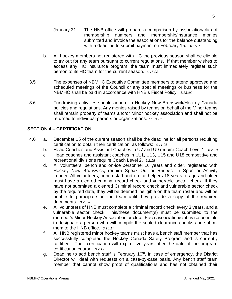- January 31 The HNB office will prepare a comparison by association/club of membership numbers and membership/insurance monies submitted and invoice the associations for the balance outstanding with a deadline to submit payment on February 15. *6.15.08*
- b. All hockey members not registered with HC the previous season shall be eligible to try out for any team pursuant to current regulations. If that member wishes to access any HC insurance program, the team must immediately register such person to its HC team for the current season. *6.15.08*
- 3.5 The expenses of NBMHC Executive Committee members to attend approved and scheduled meetings of the Council or any special meetings or business for the NBMHC shall be paid in accordance with HNB's Fiscal Policy. *6.13.04*
- 3.6 Fundraising activities should adhere to Hockey New Brunswick/Hockey Canada policies and regulations. Any monies raised by teams on behalf of the Minor teams shall remain property of teams and/or Minor hockey association and shall not be returned to individual parents or organizations. *11.10.18*

#### **SECTION 4 – CERTIFICATION**

- 4.0 a. December 15 of the current season shall be the deadline for all persons requiring certification to obtain their certification, as follows: *6.11.06*
	- b. Head Coaches and Assistant Coaches in U7 and U9 require Coach Level 1. *6.2.18*
	- c. Head coaches and assistant coaches in U11, U13, U15 and U18 competitive and recreational divisions require Coach Level 2. *6.2.18*
	- d. All volunteers, bench and on-ice personnel 16 years and older, registered with Hockey New Brunswick, require Speak Out or Respect in Sport for Activity Leader. All volunteers, bench staff and on ice helpers 18 years of age and older must have a cleared criminal record check and vulnerable sector check. If they have not submitted a cleared Criminal record check and vulnerable sector check by the required date, they will be deemed ineligible on the team roster and will be unable to participate on the team until they provide a copy of the required documents. *8.25.20*
	- e. All volunteers of HNB must complete a criminal record check every 3 years, and a vulnerable sector check. This/these document(s) must be submitted to the member's Minor Hockey Association or club. Each association/club is responsible to designate a person who will compile the sealed clearance checks and submit them to the HNB office. *6.10.17*
	- f. All HNB registered minor hockey teams must have a bench staff member that has successfully completed the Hockey Canada Safety Program and is currently certified. Their certification will expire five years after the date of the program certification course. *6.2.12*
	- g. Deadline to add bench staff is February 10<sup>th</sup>. In case of emergency, the District Director will deal with requests on a case-by-case basis. Any bench staff team member that cannot show proof of qualifications and has not obtained their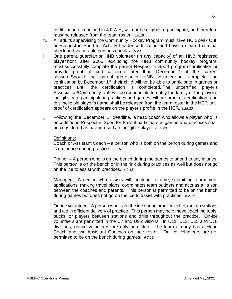- h. All adults supervising the Community Hockey Program must have HC Speak Out! or Respect in Sport for Activity Leader certification and have a cleared criminal check and vulnerable persons check. *8.25.20*
- i. One parent, guardian or HNB volunteer (in any capacity) of an HNB registered player born after 2005, excluding the HNB community hockey program, must successfully complete the parent Respect in Sport program certification or provide proof of certification no later than December 1<sup>st</sup> of the current season. Should the parent, guardian or HNB volunteer not complete the certification by December 1<sup>st</sup>, their child will not be able to participate in games or practices until the certification is completed. The uncertified player's Association/Community club will be responsible to notify the family of the player's ineligibility to participate in practices and games without proof of certification, and this ineligible player's name shall be released from the team roster in the HCR until proof of certification appears on the player's profile in the HCR. *8.25.20*
- ii. Following the December  $1<sup>st</sup>$  deadline, a head coach who allows a player who is uncertified in Respect in Sport for Parent participate in games and practices shall be considered as having used an ineligible player. *8.25.20*

#### Definitions:

Coach or Assistant Coach – a person who is both on the bench during games and is on the ice during practice. *6.2.18*

Trainer – A person who is on the bench during the games to attend to any injuries. This person is on the bench or in the rink during practices as well but does not go on the ice to assist with practices. *6.2.18*

Manager – A person who assists with booking ice time, submitting tournament applications, making travel plans, coordinates team budgets and acts as a liaison between the coaches and parents. This person is permitted to be on the bench during games but does not go on the ice to assist with practices. *6.2.18*

On-ice volunteer – A person who is on the ice during practice to help set up stations and aid in efficient delivery of practice. This person may help move coaching tools, pucks, or players between stations and drills throughout the practice. On-ice volunteers are permitted in the U7 and U9 divisions. In U11, U13, U15 and U18 divisions; on-ice volunteers are only permitted if the team already has a Head Coach and two Assistant Coaches on their roster. On ice volunteers are not permitted to be on the bench during games. *6.2.18*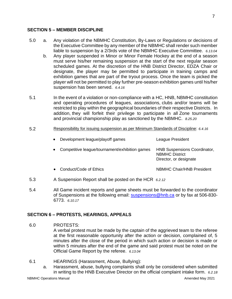#### **SECTION 5 – MEMBER DISCIPLINE**

- 5.0 a. Any violation of the NBMHC Constitution, By-Laws or Regulations or decisions of the Executive Committee by any member of the NBMHC shall render such member liable to suspension by a 2/3rds vote of the NBMHC Executive Committee. *6.13.04*
	- b. Any player suspended in Minor or Minor Female Hockey at the end of a season must serve his/her remaining suspension at the start of the next regular season scheduled games. At the discretion of the HNB District Director, EDZA Chair or designate, the player may be permitted to participate in training camps and exhibition games that are part of the tryout process. Once the team is picked the player will not be permitted to play further pre-season exhibition games until his/her suspension has been served. *6.4.16*
- 5.1 In the event of a violation or non-compliance with a HC, HNB, NBMHC constitution and operating procedures of leagues, associations, clubs and/or teams will be restricted to play within the geographical boundaries of their respective Districts. In addition, they will forfeit their privilege to participate in all Zone tournaments and provincial championship play as sanctioned by the NBMHC. *8.25.20*

#### 5.2 Responsibility for issuing suspension as per Minimum Standards of Discipline: *6.4.16*

| Development league/playoff games<br>$\bullet$  | League President                                                                       |
|------------------------------------------------|----------------------------------------------------------------------------------------|
| Competitive league/tournament/exhibition games | <b>HNB Suspensions Coordinator,</b><br><b>NBMHC District</b><br>Director, or designate |
| Conduct/Code of Ethics                         | <b>NBMHC Chair/HNB President</b>                                                       |

- 5.3 A Suspension Report shall be posted on the HCR *[6.2.12](https://hcr.hockeycanada.ca/hcr/Reports/Member/MemberSuspension%206.2.12)*
- 5.4 All Game incident reports and game sheets must be forwarded to the coordinator of Suspensions at the following email: [suspensions@hnb.ca](mailto:suspensions@hnb.ca) or by fax at 506-830- 6773. *6.10.17*

#### **SECTION 6 – PROTESTS, HEARINGS, APPEALS**

6.0 PROTESTS:

A verbal protest must be made by the captain of the aggrieved team to the referee at the first reasonable opportunity after the action or decision, complained of, 5 minutes after the close of the period in which such action or decision is made or within 5 minutes after the end of the game and said protest must be noted on the Official Game Report by the referee. *6.13.04*

- 6.1 HEARINGS (Harassment, Abuse, Bullying):
	- a. Harassment, abuse, bullying complaints shall only be considered when submitted in writing to the HNB Executive Director on the official complaint intake form. *6.2.18*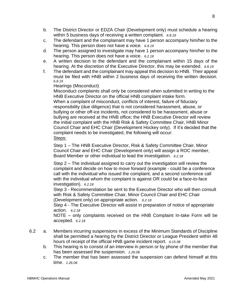- b. The District Director or EDZA Chair (Development only) must schedule a hearing within 5 business days of receiving a written complaint. *6.8.19*
- c. The defendant and the complainant may have 1 person accompany him/her to the hearing. This person does not have a voice. *6.8.19*
- d. The person assigned to investigate may have 1 person accompany him/her to the hearing. This person does not have a voice. *6.2.18*
- e. A written decision to the defendant and the complainant within 15 days of the hearing. At the discretion of the Executive Director, this may be extended. *6.8.19*
- f. The defendant and the complainant may appeal this decision to HNB. Their appeal must be filed with HNB within 2 business days of receiving the written decision. *6.8.19*

#### Hearings (Misconduct)

Misconduct complaints shall only be considered when submitted in writing to the HNB Executive Director on the official HNB complaint intake form.

When a complaint of misconduct, conflicts of interest, failure of fiduciary responsibility (due diligence) that is not considered harassment, abuse, or bullying or other off-ice incidents, not considered to be harassment, abuse or bullying are received at the HNB office; the HNB Executive Director will review the initial complaint with the HNB Risk & Safety Committee Chair, HNB Minor Council Chair and EHC Chair (Development Hockey only). If it's decided that the complaint needs to be investigated, the following will occur: Steps:

Step 1 – The HNB Executive Director, Risk & Safety Committee Chair, Minor Council Chair and EHC Chair (Development only) will assign a ROC member, Board Member or other individual to lead the investigation. *6.2.18*

Step 2 – The individual assigned to carry out the investigation will review the complaint and decide on how to move forward (example - could be a conference call with the individual who issued the complaint, and a second conference call with the individual whom the complaint is against OR could be a face-to-face investigation). *6.2.18*

Step 3 - Recommendation be sent to the Executive Director who will then consult with Risk & Safety Committee Chair, Minor Council Chair and EHC Chair (Development only) on appropriate action. *6.2.18*

Step 4 - The Executive Director will assist in preparation of notice of appropriate action. *6.2.18*

NOTE – only complaints received on the HNB Complaint In-take Form will be accepted. *6.2.18*

- 6.2 a. Members incurring suspensions in excess of the Minimum Standards of Discipline shall be permitted a hearing by the District Director or League President within 48 hours of receipt of the official HNB game incident report. *6.15.08*
	- b. This hearing is to consist of an interview in person or by phone of the member that has been assessed the suspension. *1.26.08*
	- c. The member that has been assessed the suspension can defend himself at this time. *1.26.08*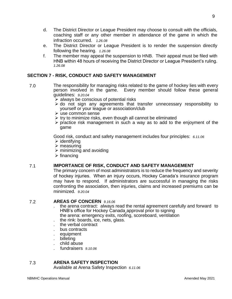- d. The District Director or League President may choose to consult with the officials, coaching staff or any other member in attendance of the game in which the infraction occurred. *1.26.08*
- e. The District Director or League President is to render the suspension directly following the hearing. *1.26.08*
- f. The member may appeal the suspension to HNB. Their appeal must be filed with HNB within 48 hours of receiving the District Director or League President's ruling. *1.26.08*

### **SECTION 7 - RISK, CONDUCT AND SAFETY MANAGEMENT**

- 7.0 The responsibility for managing risks related to the game of hockey lies with every person involved in the game. Every member should follow these general guidelines: *9.20.04*
	- $\triangleright$  always be conscious of potential risks
	- ➢ do not sign any agreements that transfer unnecessary responsibility to yourself or your league or association/club
	- ➢ use common sense
	- $\triangleright$  try to minimize risks, even though all cannot be eliminated
	- ➢ practice risk management in such a way as to add to the enjoyment of the game

Good risk, conduct and safety management includes four principles: *6.11.06*

- $\triangleright$  identifying
- ➢ measuring
- $\triangleright$  minimizing and avoiding
- $\triangleright$  financing

#### 7.1 **IMPORTANCE OF RISK, CONDUCT AND SAFETY MANAGEMENT**

The primary concern of most administrators is to reduce the frequency and severity of hockey injuries. When an injury occurs, Hockey Canada's insurance program may have to respond. If administrators are successful in managing the risks confronting the association, then injuries, claims and increased premiums can be minimized. *9.20.04*

#### 7.2 **AREAS OF CONCERN** *9.16.06*

- . the arena contract: always read the rental agreement carefully and forward to HNB's office for Hockey Canada approval prior to signing the arena: emergency exits, roofing, scoreboard, ventilation
- . the rink: boards, ice, nets, glass.
- . the verbal contract
- . bus contracts
- . equipment
- . billeting
- . child abuse
- . fundraisers *9.10.06*

#### 7.3 **ARENA SAFETY INSPECTION**

Available at Arena Safety Inspection *6.11.06*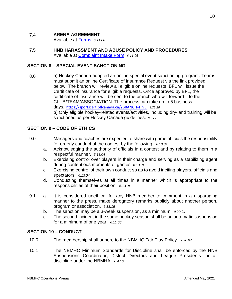#### 7.4 **ARENA AGREEMENT**

Available at [Forms](http://www.hnb.ca/site/en/administration/forms/minor-hockey) *6.11.06*

7.5 **HNB HARASSMENT AND ABUSE POLICY AND PROCEDURES**  Available at [Complaint Intake Form](http://www.hnb.ca/site/en/hockey/minor-hockey/minorimportantdocuments/complaintintakeform) *6.11.06*

#### **SECTION 8 – SPECIAL EVENT SANCTIONING**

8.0 a) Hockey Canada adopted an online special event sanctioning program. Teams must submit an online Certificate of Insurance Request via the link provided below. The branch will review all eligible online requests. BFL will issue the Certificate of insurance for eligible requests. Once approved by BFL, the certificate of insurance will be sent to the branch who will forward it to the CLUB/TEAM/ASSOCIATION. The process can take up to 5 business days. <https://sportscert.bflcanada.ca/?BRANCH=HNB>*8.25.20* b) Only eligible hockey-related events/activities, including dry-land training will be sanctioned as per Hockey Canada guidelines. *8.25.20*

#### **SECTION 9 – CODE OF ETHICS**

- 9.0 Managers and coaches are expected to share with game officials the responsibility for orderly conduct of the contest by the following: *6.13.04*
	- a. Acknowledging the authority of officials in a contest and by relating to them in a respectful manner. *6.13.04*
	- b. Exercising control over players in their charge and serving as a stabilizing agent during contentious moments of games. *6.13.04*
	- c. Exercising control of their own conduct so as to avoid inciting players, officials and spectators. *6.13.04*
	- d. Conducting themselves at all times in a manner which is appropriate to the responsibilities of their position. *6.13.04*
- 9.1 a. It is considered unethical for any HNB member to comment in a disparaging manner to the press, make derogatory remarks publicly about another person, program or association. *6.13.15*
	- b. The sanction may be a 3-week suspension, as a minimum. *9.20.04*
	- c. The second incident in the same hockey season shall be an automatic suspension for a minimum of one year. *6.11.06*

#### **SECTION 10 – CONDUCT**

- 10.0 The membership shall adhere to the NBMHC Fair Play Policy. *9.20.04*
- 10.1 The NBMHC Minimum Standards for Discipline shall be enforced by the HNB Suspensions Coordinator, District Directors and League Presidents for all discipline under the NBMHA. *6.4.16*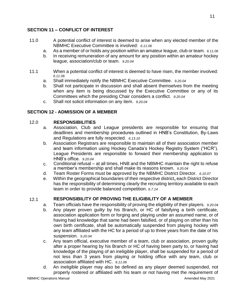### **SECTION 11 – CONFLICT OF INTEREST**

- 11.0 A potential conflict of interest is deemed to arise when any elected member of the NBMHC Executive Committee is involved: *6.11.06*
	- a. As a member of or holds any position within an amateur league, club or team. *6.11.06*
	- b. In receiving remuneration of any amount for any position within an amateur hockey league, association/club or team. *9.20.04*
- 11.1 When a potential conflict of interest is deemed to have risen, the member involved: *6.11.06*
	- a. Shall immediately notify the NBMHC Executive Committee. *9.20.04*
	- b. Shall not participate in discussion and shall absent themselves from the meeting when any item is being discussed by the Executive Committee or any of its Committees which the presiding Chair considers a conflict. *9.20.04*
	- c. Shall not solicit information on any item. *9.20.04*

### **SECTION 12 - ADMISSION OF A MEMBER**

### 12.0 **RESPONSIBILITIES**

- a. Association, Club and League presidents are responsible for ensuring that deadlines and membership procedures outlined in HNB's Constitution, By-Laws and Regulations are fully respected. *6.13.10*
- b. Association Registrars are responsible to maintain all of their association member and team information using Hockey Canada's Hockey Registry System ("HCR"). League Presidents are responsible to forward their membership application to HNB's office. *9.20.04*
- c. Conditional refusal at all times, HNB and the NBMHC maintain the right to refuse a member's membership and shall make its reasons known. *9.20.04*
- d. Team Roster Forms must be approved by the NBMHC District Director. *6.10.07*
- e. Within the geographical boundaries of their respective district**,** each District Director has the responsibility of determining clearly the recruiting territory available to each team in order to provide balanced competition. *6.7.14*

### 12.1 **RESPONSIBILITY OF PROVING THE ELIGIBILITY OF A MEMBER**

- a. Team officials have the responsibility of proving the eligibility of their players. *9.20.04*
- b. Any player proven guilty by his Branch, or HC of falsifying a birth certificate, association application form or forging and playing under an assumed name, or of having had knowledge that same had been falsified, or of playing on other than his own birth certificate, shall be automatically suspended from playing hockey with any team affiliated with the HC for a period of up to three years from the date of his suspension. *9.20.04*
- c. Any team official, executive member of a team, club or association, proven guilty after a proper hearing by his Branch or HC of having been party to, or having had knowledge of the playing of an ineligible player, shall be suspended for a period of not less than 3 years from playing or holding office with any team, club or association affiliated with HC. *6.11.06*
- d. An ineligible player may also be defined as any player deemed suspended, not properly rostered or affiliated with his team or not having met the requirement of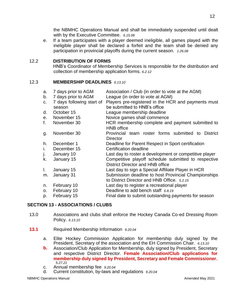the NBMHC Operations Manual and shall be immediately suspended until dealt with by the Executive Committee. *6.15.08*

e. If a team participates with a player deemed ineligible, all games played with the ineligible player shall be declared a forfeit and the team shall be denied any participation in provincial playoffs during the current season. *1.26.08*

#### 12.2 **DISTRIBUTION OF FORMS**

HNB's Coordinator of Membership Services is responsible for the distribution and collection of membership application forms. *6.2.12*

#### 12.3 **MEMBERSHIP DEADLINES** *6.13.10*

| a.<br>b.<br>C. | 7 days prior to AGM<br>7 days prior to AGM<br>7 days following start of<br>season | Association / Club (in order to vote at the AGM)<br>League (in order to vote at AGM)<br>Players pre-registered in the HCR and payments must<br>be submitted to HNB's office |
|----------------|-----------------------------------------------------------------------------------|-----------------------------------------------------------------------------------------------------------------------------------------------------------------------------|
| d.             | October 15                                                                        | League membership deadline                                                                                                                                                  |
| е.             | November 15                                                                       | Novice games shall commence                                                                                                                                                 |
| f.             | November 30                                                                       | HCR membership complete and payment submitted to<br><b>HNB</b> office                                                                                                       |
| g.             | November 30                                                                       | Provincial team roster forms submitted to<br><b>District</b><br><b>Director</b>                                                                                             |
| h.             | December 1                                                                        | Deadline for Parent Respect in Sport certification                                                                                                                          |
| i.             | December 15                                                                       | Certification deadline                                                                                                                                                      |
| j.             | January 10                                                                        | Last day to roster a development or competitive player                                                                                                                      |
| k.             | January 15                                                                        | Competitive playoff schedule submitted to respective<br>District Director and HNB office                                                                                    |
| L.             | January 15                                                                        | Last day to sign a Special Affiliate Player in HCR                                                                                                                          |
| m.             | January 31                                                                        | Submission deadline to host Provincial Championships<br>to District Director and HNB Office. 5.2.15                                                                         |
| n.             | February 10                                                                       | Last day to register a recreational player                                                                                                                                  |
| о.             | February 10                                                                       | Deadline to add bench staff 6.8.19                                                                                                                                          |
| p.             | February 15                                                                       | Final date to submit outstanding payments for season                                                                                                                        |
|                |                                                                                   |                                                                                                                                                                             |

### **SECTION 13 - ASSOCIATIONS / CLUBS**

- 13.0 Associations and clubs shall enforce the Hockey Canada Co-ed Dressing Room Policy. *6.13.10*
- **13.1** Required Membership Information *9.20.04*
	- a. Elite Hockey Commission Application for membership duly signed by the President, Secretary of the association and the EH Commission Chair. *6.13.10*
	- **b.** Association/Club Application for Membership, duly signed by President, Secretary and respective District Director. **Female Association/Club applications for membership duly signed by President, Secretary and Female Commissioner.** *5.27.21*
	- c. Annual membership fee *9.20.04*
	- d. Current constitution, by-laws and regulations *9.20.04*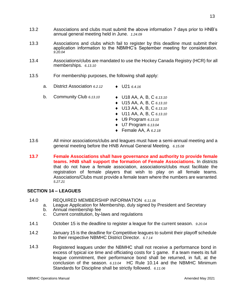- 13.2 Associations and clubs must submit the above information 7 days prior to HNB's annual general meeting held in June. *1.24.09*
- 13.3 Associations and clubs which fail to register by this deadline must submit their application information to the NBMHC's September meeting for consideration. *9.20.04*
- 13.4 Associations/clubs are mandated to use the Hockey Canada Registry (HCR) for all memberships. *6.13.10*
- 13.5 For membership purposes, the following shall apply:
	- a. District Association 6.2.12 **.** U21 6.4.16
	- b. Community Club *6.13.10* U18 AA, A, B, C *6.13.10*
		-
		- U15 AA, A, B, C *6.13.10*
		- U13 AA, A, B, C *6.13.10*
		- U11 AA, A, B, C *6.13.10*
		- U9 Program *6.13.10*
		- U7 Program *6.13.04*
		- Female AA, A *6.2.18*
- 13.6 All minor associations/clubs and leagues must have a semi-annual meeting and a general meeting before the HNB Annual General Meeting. *6.15.08*
- **13.7 Female Associations shall have governance and authority to provide female teams. HNB shall support the formation of Female Associations.** In districts that do not have a female association, associations/clubs must facilitate the registration of female players that wish to play on all female teams. Associations/Clubs must provide a female team where the numbers are warranted. *5.27.21*

#### **SECTION 14 – LEAGUES**

- 14.0 REQUIRED MEMBERSHIP INFORMATION *6.11.06*
	- a. League Application for Membership, duly signed by President and Secretary
	- b. Annual membership fee
	- c. Current constitution, by-laws and regulations
- 14.1 October 15 is the deadline to register a league for the current season. *9.20.04*
- 14.2 January 15 is the deadline for Competitive leagues to submit their playoff schedule to their respective NBMHC District Director. *6.7.14*
- 14.3 Registered leagues under the NBMHC shall not receive a performance bond in excess of typical ice time and officiating costs for 1 game. If a team meets its full league commitment, their performance bond shall be returned, in full, at the conclusion of the season. *6.13.04* HC Rule 10.14 and the NBMHC Minimum Standards for Discipline shall be strictly followed. *6.11.06*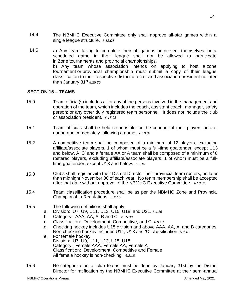- 14.4 The NBMHC Executive Committee only shall approve all-star games within a single league structure. *6.13.04*
- 14.5 a) Any team failing to complete their obligations or present themselves for a scheduled game in their league shall not be allowed to participate in Zone tournaments and provincial championships. b) Any team whose association intends on applying to host a zone tournament or provincial championship must submit a copy of their league classification to their respective district director and association president no later than January 31st *8.25.20*

#### **SECTION 15 – TEAMS**

- 15.0 Team official(s) includes all or any of the persons involved in the management and operation of the team, which includes the coach, assistant coach, manager, safety person; or any other duly registered team personnel. It does not include the club or association president. *6.15.08*
- 15.1 Team officials shall be held responsible for the conduct of their players before, during and immediately following a game. *6.13.04*
- 15.2 A competitive team shall be composed of a minimum of 12 players, excluding affiliate/associate players, 1 of whom must be a full-time goaltender, except U13 and below. A 'C' and a female AA or A team shall be composed of a minimum of 8 rostered players, excluding affiliate/associate players, 1 of whom must be a fulltime goaltender, except U13 and below. *6.8.19*
- 15.3 Clubs shall register with their District Director their provincial team rosters, no later than midnight November 30 of each year. No team membership shall be accepted after that date without approval of the NBMHC Executive Committee. *6.13.04*
- 15.4 Team classification procedure shall be as per the NBMHC Zone and Provincial Championship Regulations. *5.2.15*
- 15.5 The following definitions shall apply:
	- a. Division: U7, U9, U11, U13, U15, U18, and U21. *6.4.16*
	- b. Category: AAA, AA, A, B and C. *6.15.08*
	- c. Classification: Development, Competitive, and C. *6.8.13*
	- d. Checking hockey includes U15 division and above AAA, AA, A, and B categories. Non-checking hockey includes U11, U13 and 'C' classification. *6.8.13*
	- e. For female hockey: Division: U7, U9, U11, U13, U15, U18 Category: Female AAA, Female AA, Female A Classification: Development, Competitive and Female All female hockey is non-checking. *6.2.18*
- 15.6 Re-categorization of club teams must be done by January 31st by the District Director for ratification by the NBMHC Executive Committee at their semi-annual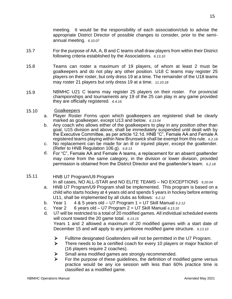meeting. It would be the responsibility of each association/club to advise the appropriate District Director of possible changes to consider, prior to the semiannual meeting. *6.10.07*

- 15.7 For the purpose of AA, A, B and C teams shall draw players from within their District following criteria established by the Associations. *6.13.10*
- 15.8 Teams can roster a maximum of 19 players, of whom at least 2 must be goalkeepers and do not play any other position. U18 C teams may register 25 players on their roster, but only dress 19 at a time. The remainder of the U18 teams may roster 21 players but only dress 19 at a time. *11.10.18*
- 15.9 NBMHC U21 C teams may register 25 players on their roster. For provincial championships and tournaments any 19 of the 25 can play in any game provided they are officially registered. *6.4.16*
- 15.10 Goalkeepers
	- a. Player Roster Forms upon which goalkeepers are registered shall be clearly marked as goalkeeper, except U13 and below. *6.13.04*
	- b. Any coach who allows either of the goalkeepers to play in any position other than goal, U15 division and above, shall be immediately suspended until dealt with by the Executive Committee, as per article 12.1d. HNB "C", Female AA and Female A registered teams playing within New Brunswick shall be exempt from this rule. *6.2.18*
	- c. No replacement can be made for an ill or injured player, except the goaltender. (Refer to HNB Regulation 106.g). *6.8.13*
	- d. For "C", Female AA and Female A teams, a replacement for an absent goaltender may come from the same category, in the division or lower division, provided permission is obtained from the District Director and the goaltender's team. *6.2.18*
- 15.11 HNB U7 Program/U9 Program

In all cases, NO ALL-STAR and NO ELITE TEAMS – NO EXCEPTIONS *9.20.04*

- a. HNB U7 Program/U9 Program shall be implemented. This program is based on a child who starts hockey at 4 years old and spends 5 years in hockey before entering U11, shall be implemented by all clubs as follows: *6.2.12*
- b. Year 1 4 & 5 years old U7 Program 1 = U7 Skill Manual *6.2.12*
- c. Year 2 6 years old U7 Program 2 = U7 Skill Manual *6.13.10*
- d. U7 will be restricted to a total of 20 modified games. All individual scheduled events will count toward the 20 game total.*6.13.15* Years 1 and 2 allowed a maximum of 20 modified games with a start date of December 15 and will apply to any jamboree modified game structure. *6.13.10*
	- ➢ Fulltime designated Goaltenders will not be permitted in the U7 Program.
	- ➢ There needs to be a certified coach for every 10 players or major fraction of (16 players require 2 coaches).
	- ➢ Small area modified games are strongly recommended.
	- $\triangleright$  For the purpose of these guidelines, the definition of modified game versus practice would be any ice session with less than 60% practice time is classified as a modified game.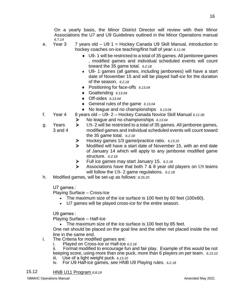On a yearly basis, the Minor District Director will review with their Minor Associations the U7 and U9 Guidelines outlined in the Minor Operations manual *6.7.14*

- e. Year 3  $\overline{7}$  years old  $-$  U9 1 = Hockey Canada U9 Skill Manual, introduction to hockey coaches on-ice teaching/first half of year: *6.11.06*
	- U9- 1 will be restricted to a total of 35 games. All jamboree games , modified games and individual scheduled events will count toward the 35 game total. *6.2.18*
	- U9- 1 games (all games, including jamborees) will have a start date of November 15 and will be played half-ice for the duration of the season. *6.2.18*
	- Positioning for face-offs *6.13.04*
	- Goaltending *6.13.04*
	- Off-sides *6.13.04*
	- General rules of the game *6.13.04*
	- ◆ No league and no championships 6.13.04
- f. Year 4 8 years old U9- 2 Hockey Canada Novice Skill Manual *6.11.06*
	- ➢ No league and no championships *6.13.04*
- g. Years 3 and 4 ➢ U9- 2 will be restricted to a total of 35 games. All jamboree games, modified games and individual scheduled events will count toward the 35 game total. *6.2.18*
	- ➢ Hockey games 1/3 game/practice ratio. *6.13.10*
	- ➢ Modified will have a start date of November 15, with an end date of January 14 which will apply to any jamboree modified game structure. *6.2.18*
	- ➢ Full ice games may start January 15. *6.2.18*
	- Associations have that both 7 & 8 year old players on U9 teams will follow the U9- 2 game regulations. *6.2.18*
- h. Modified games, will be set-up as follows: *8.25.20*

U7 games :

Playing Surface – Cross-Ice

- The maximum size of the ice surface is 100 feet by 60 feet (100x60).
- U7 games will be played cross-ice for the entire season.

U9 games :

Playing Surface – Half-Ice

• The maximum size of the ice surface is 100 feet by 85 feet.

One net should be placed on the goal line and the other net placed inside the red line in the same end.

- i. The Criteria for modified games are:
	- i. Played on Cross-Ice or Half-ice *6.2.18*

ii. Format modified to encourage fun and fair play. Example of this would be not keeping score, using more than one puck, more than 6 players on per team. *6.13.10*

- iii. Use of a light weight puck. *6.13.10*
- iv. For U9 Half-ice games, see HNB U9 Playing rules. *6.2.18*

15.12 HNB U11 Program *6.8.19*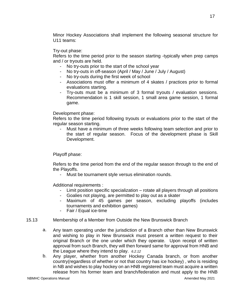Minor Hockey Associations shall implement the following seasonal structure for U11 teams:

#### Try-out phase:

Refers to the time period prior to the season starting -typically when prep camps and / or tryouts are held.

- No try-outs prior to the start of the school year
- No try-outs in off-season (April / May / June / July / August)
- No try-outs during the first week of school
- Associations must offer a minimum of 4 skates / practices prior to formal evaluations starting.
- Try-outs must be a minimum of 3 formal tryouts / evaluation sessions. Recommendation is 1 skill session, 1 small area game session, 1 formal game.

#### Development phase:

Refers to the time period following tryouts or evaluations prior to the start of the regular season starting.

- Must have a minimum of three weeks following team selection and prior to the start of regular season. Focus of the development phase is Skill Development.

#### Playoff phase:

Refers to the time period from the end of the regular season through to the end of the Playoffs.

Must be tournament style versus elimination rounds.

Additional requirements :

- Limit position specific specialization rotate all players through all positions
- Goalies not playing, are permitted to play out as a skater
- Maximum of 45 games per season, excluding playoffs (includes tournaments and exhibition games)
- Fair / Equal ice-time
- 15.13 Membership of a Member from Outside the New Brunswick Branch
	- a. Any team operating under the jurisdiction of a Branch other than New Brunswick and wishing to play in New Brunswick must present a written request to their original Branch or the one under which they operate. Upon receipt of written approval from such Branch, they will then forward same for approval from HNB and the League where they intend to play. *6.2.12*
	- b. Any player, whether from another Hockey Canada branch, or from another country(regardless of whether or not that country has ice hockey) , who is residing in NB and wishes to play hockey on an HNB registered team must acquire a written release from his former team and branch/federation and must apply to the HNB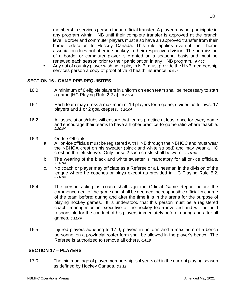membership services person for an official transfer. A player may not participate in any program within HNB until their complete transfer is approved at the branch level. Border and commuter players must also have an approved transfer from their home federation to Hockey Canada. This rule applies even if their home association does not offer ice hockey in their respective division. The permission of a border or commuter player is granted on a seasonal basis and must be renewed each season prior to their participation in any HNB program. *6.4.16*

c. Any out of country player wishing to play in N.B. must provide the HNB membership services person a copy of proof of valid health insurance. *6.4.16*

#### **SECTION 16 - GAME PRE-REQUISITES**

- 16.0 A minimum of 6 eligible players in uniform on each team shall be necessary to start a game [HC Playing Rule 2.2.a]. *9.20.04*
- 16.1 Each team may dress a maximum of 19 players for a game, divided as follows: 17 players and 1 or 2 goalkeepers. *9.20.04*
- 16.2 All associations/clubs will ensure that teams practice at least once for every game and encourage their teams to have a higher practice-to-game ratio where feasible. *9.20.04*
- 16.3 On-Ice Officials
	- a. All on-ice officials must be registered with HNB through the NBHOC and must wear the NBHOA crest on his sweater (black and white striped) and may wear a HC crest on the left sleeve. Only these 2 such crests shall be worn. *9.20.04*
	- b. The wearing of the black and white sweater is mandatory for all on-ice officials. *9.20.04*
	- c. No coach or player may officiate as a Referee or a Linesman in the division of the league where he coaches or plays except as provided in HC Playing Rule 5.2. *9.20.04*
- 16.4 The person acting as coach shall sign the Official Game Report before the commencement of the game and shall be deemed the responsible official in charge of the team before; during and after the time it is in the arena for the purpose of playing hockey games. It is understood that this person must be a registered coach, manager or an executive of the hockey team involved and will be held responsible for the conduct of his players immediately before, during and after all games. *6.11.06*
- 16.5 Injured players adhering to 17.9, players in uniform and a maximum of 5 bench personnel on a provincial roster form shall be allowed in the player's bench. The Referee is authorized to remove all others. *6.4.16*

#### **SECTION 17 – PLAYERS**

17.0 The minimum age of player membership is 4 years old in the current playing season as defined by Hockey Canada. *6.2.12*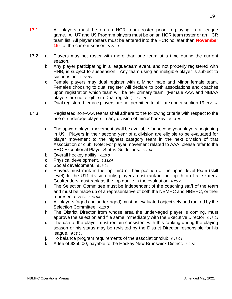- **17.1** All players must be on an HCR team roster prior to playing in a league game. All U7 and U9 Program players must be on an HCR team roster or an HCR team list. All player rosters must be entered into the HCR no later than **November 15th** of the current season. *5.27.21*
- 17.2 a. Players may not roster with more than one team at a time during the current season.
	- b. Any player participating in a league/team event, and not properly registered with HNB, is subject to suspension. Any team using an ineligible player is subject to suspension. *9.12.06*
	- c. Female players may dual register with a Minor male and Minor female team. Females choosing to dual register will declare to both associations and coaches upon registration which team will be her primary team. (Female AAA and NBIAA players are not eligible to Dual register). *6.2.18*
	- d. Dual registered female players are not permitted to affiliate under section 19. *8.25.20*
- 17.3 Registered non-AAA teams shall adhere to the following criteria with respect to the use of underage players in any division of minor hockey: *6.13.04*
	- a. The upward player movement shall be available for second year players beginning in U9. Players in their second year of a division are eligible to be evaluated for player movement to the highest category team in the next division of that Association or club. Note: For player movement related to AAA, please refer to the EHC Exceptional Player Status Guidelines. *6.7.14*
	- b. Overall hockey ability. *6.13.04*
	- c. Physical development. *6.13.04*
	- d. Social development. *6.13.04*
	- e. Players must rank in the top third of their position of the upper level team (skill level). In the U11 division only, players must rank in the top third of all skaters. Goaltenders must rank as the top goalie in the evaluation. *8.25.20*
	- f. The Selection Committee must be independent of the coaching staff of the team and must be made up of a representative of both the NBMHC and NBEHC, or their representatives. *6.13.04*
	- g. All players (aged and under-aged) must be evaluated objectively and ranked by the Selection Committee. *6.13.04*
	- h. The District Director from whose area the under-aged player is coming, must approve the selection and file same immediately with the Executive Director. *6.13.04*
	- i. The use of the player must remain consistent with this ranking during the playing season or his status may be revisited by the District Director responsible for his league. *6.13.04*
	- j. To balance program requirements of the association/club. *6.13.04*
	- k. A fee of \$250.00, payable to the Hockey New Brunswick District. *6.2.18*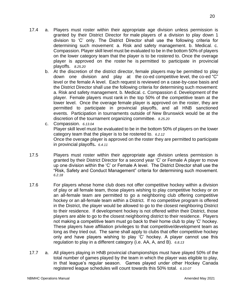- $17.4$ Players must roster within their appropriate age division unless permission is granted by their District Director for male players of a division to play down 1 division to 'C' only. The District Director shall use the following criteria for determining such movement: a. Risk and safety management. b. Medical. c. Compassion. Player skill level must be evaluated to be in the bottom 50% of players on the lower category team that the player is to be rostered to. Once the overage player is approved on the roster he is permitted to participate in provincial playoffs. *8.25.20*
	- b. At the discretion of the district director, female players may be permitted to play down one division and play at the co-ed competitive level, the co-ed "C" level or the female A level. Each request is reviewed on a case-by-case basis and the District Director shall use the following criteria for determining such movement: a. Risk and safety management. b. Medical. c. Compassion d. Development of the player. Female players must rank in the top 50% of the competitive team at the lower level. Once the overage female player is approved on the roster, they are permitted to participate in provincial playoffs, and all HNB sanctioned events. Participation in tournaments outside of New Brunswick would be at the discretion of the tournament organizing committee. *8.25.20*
	- c. Compassion. *6.13.04*

Player skill level must be evaluated to be in the bottom 50% of players on the lower category team that the player is to be rostered to. *6.2.12* Once the overage player is approved on the roster they are permitted to participate in provincial playoffs**.** *6.4.11*

- 17.5 Players must roster within their appropriate age division unless permission is granted by their District Director for a second year 'C' or Female A player to move up one division within the 'C' or Female A level. The District Director shall use the "Risk, Safety and Conduct Management" criteria for determining such movement. *6.2.18*
- 17.6 For players whose home club does not offer competitive hockey within a division of play or all female team, those players wishing to play competitive hockey or on an all-female team are permitted to go a neighboring club offering competitive hockey or an all-female team within a District. If no competitive program is offered in the District, the player would be allowed to go to the closest neighboring District to their residence. If development hockey is not offered within their District, those players are able to go to the closest neighboring district to their residence. Players not making a competitive team must go back to their home club to play 'C' hockey. These players have affiliation privileges to that competitive/development team as long as they tried out. The same shall apply to clubs that offer competitive hockey only and have players wishing to play 'C' hockey. A player cannot use this regulation to play in a different category (i.e. AA, A, and B). *6.8.13*
- 17.7 a. All players playing in HNB provincial championships must have played 50% of the total number of games played by the team in which the player was eligible to play, in that league's regular season. Games played under other Hockey Canada registered league schedules will count towards this 50% total. *6.10.07*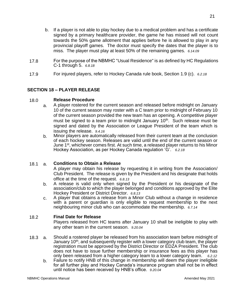- b. If a player is not able to play hockey due to a medical problem and has a certificate signed by a primary healthcare provider, the game he has missed will not count towards the 50% game allotment that applies before he is allowed to play in any provincial playoff games. The doctor must specify the dates that the player is to miss. The player must play at least 50% of the remaining games. *6.14.09*
- 17.8 For the purpose of the NBMHC "Usual Residence" is as defined by HC Regulations C-1 through 5. *6.8.18*
- 17.9 For injured players, refer to Hockey Canada rule book, Section 1.9 (c). *6.2.18*

### **SECTION 18 – PLAYER RELEASE**

#### 18.0 **Release Procedure**

- a. A player rostered for the current season and released before midnight on January 10 of the current season may roster with a C team prior to midnight of February 10 of the current season provided the new team has an opening. A competitive player must be signed to a team prior to midnight January 10<sup>th</sup>. Such release must be signed and dated by the Association or League President of the team which is issuing the release. *9.4.16*
- b. Minor players are automatically released from their current team at the conclusion of each hockey season. Releases are valid until the end of the current season or June  $1^{st}$ , whichever comes first. At such time, a released player returns to his Minor Hockey Association, as per Hockey Canada regulation 'G'. *6.2.18*

#### 18.1 a. **Conditions to Obtain a Release**

A player may obtain his release by requesting it in writing from the Association/ Club President. The release is given by the President and his designate that holds office at the time of the request. *6.8.13*

- b. A release is valid only when signed by the President or his designate of the association/club to which the player belonged and conditions approved by the Elite Hockey President or District Director. *6.8.13*
- $c.$  A player that obtains a release from a Minor Club without a change in residence with a parent or guardian is only eligible to request membership to the next neighbouring minor club who can accommodate the membership. *6.7.14*

#### 18.2 **Final Date for Release**

Players released from HC teams after January 10 shall be ineligible to play with any other team in the current season. *9.20.04*

- 18.3 a. Should a rostered player be released from his association team before midnight of January 10<sup>th</sup>, and subsequently register with a lower category club team, the player registration must be approved by the District Director or EDZA President. The club does not have to issue further membership or insurance fees as this player has only been released from a higher category team to a lower category team. *6.2.12*
	- b. Failure to notify HNB of this change in membership will deem the player ineligible for all further play and Hockey Canada's insurance program shall not be in effect until notice has been received by HNB's office. *9.20.04*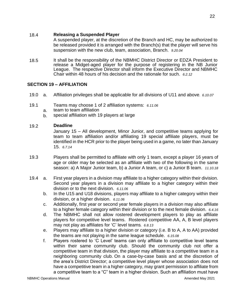#### 18.4 **Releasing a Suspended Player**

A suspended player, at the discretion of the Branch and HC, may be authorized to be released provided it is arranged with the Branch(s) that the player will serve his suspension with the new club, team, association, Branch. *9.20.04*

18.5 It shall be the responsibility of the NBMHC District Director or EDZA President to release a Midget-aged player for the purpose of registering in the NB Junior League. The respective Director shall inform the Executive Director and NBMHC Chair within 48 hours of his decision and the rationale for such. *6.2.12*

#### **SECTION 19 – AFFILIATION**

- 19.0 a. Affiliation privileges shall be applicable for all divisions of U11 and above. *6.10.07*
- 19.1 Teams may choose 1 of 2 affiliation systems: *6.11.06*
	- a. team to team affiliation
	- b. special affiliation with 19 players at large

#### 19.2 **Deadline**

January 15 – All development, Minor Junior, and competitive teams applying for team to team affiliation and/or affiliating 19 special affiliate players, must be identified in the HCR prior to the player being used in a game, no later than January 15. *6.7.14*

- 19.3 Players shall be permitted to affiliate with only 1 team, except a player 16 years of age or older may be selected as an affiliate with two of the following in the same season: a) A Major Junior team, b) a Junior A team, or c) a Junior B team. *11.10.18*
- 19.4 a. First year players in a division may affiliate to a higher category within their division. Second year players in a division may affiliate to a higher category within their division or to the next division. *6.11.06*
	- b. In the U15 and U18 divisions, players may affiliate to a higher category within their division, or a higher division. *6.11.06*
	- c. Additionally, first year or second year female players in a division may also affiliate to a higher female category within their division or to the next female division. *6.4.16*
	- d. The NBMHC shall not allow rostered development players to play as affiliate players for competitive level teams. Rostered competitive AA, A, B level players may not play as affiliates for 'C' level teams*. 6.8.13*
	- e. Players may affiliate to a higher division or category (i.e. B to A, A to AA) provided the teams are not playing in the same league schedule. *6.15.08*
	- f. Players rostered to 'C Level' teams can only affiliate to competitive level teams within their same community club. Should the community club not offer a competitive team in that division, the player may affiliate to a competitive team in a neighboring community club. On a case-by-case basis and at the discretion of the area's District Director; a competitive level player whose association does not have a competitive team in a higher category, may grant permission to affiliate from a competitive team to a "C" team in a higher division. Such an affiliation must have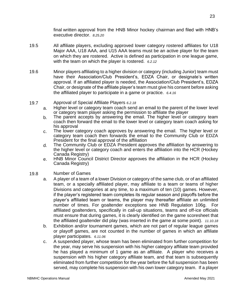final written approval from the HNB Minor hockey chairman and filed with HNB's executive director. *8.25.20*

- 19.5 All affiliate players, excluding approved lower category rostered affiliates for U18 Major AAA, U18 AAA, and U15 AAA teams must be an active player for the team on which they are rostered. Active is defined as participation in one league game, with the team on which the player is rostered. *6.2.12*
- 19.6 Minor players affiliating to a higher division or category (including Junior) team must have their Association/Club President's, EDZA Chair, or designate's written approval. If an affiliated player is needed, the Association/Club President's, EDZA Chair, or designate of the affiliate player's team must give his consent before asking the affiliated player to participate in a game or practice. *6.4.16*
- 19.7 Approval of Special Affiliate Players *6.2.18*
	- a. Higher level or category team coach send an email to the parent of the lower level or category team player asking the permission to affiliate the player
	- b. The parent accepts by answering the email. The higher level or category team coach then forward the email to the lower level or category team coach asking for his approval
	- c. The lower category coach approves by answering the email. The higher level or category team coach then forwards the email to the Community Club or EDZA President for the final approval of the affiliation
	- d. The Community Club or EDZA President approves the affiliation by answering to the higher level or category coach and enters the affiliation into the HCR (Hockey Canada Registry)
	- e. HNB Minor Council District Director approves the affiliation in the HCR (Hockey Canada Registry)

#### 19.8 Number of Games

- a. A player of a team of a lower Division or category of the same club, or of an affiliated team, or a specially affiliated player, may affiliate to a team or teams of higher Divisions and categories at any time, to a maximum of ten (10) games. However, if the player's registered team completes its regular season and playoffs before the player's affiliated team or teams, the player may thereafter affiliate an unlimited number of times. For goaltender exceptions see HNB Regulation 106g. For affiliated goaltenders, specifically in call-up situations, teams and off-ice officials must ensure that during games, it is clearly identified on the game scoresheet that the affiliated goaltender did play (was inserted in the game at some point). *11.10.18*
- b. Exhibition and/or tournament games, which are not part of regular league games or playoff games, are not counted in the number of games in which an affiliate player participates. *6.11.06*
- c. A suspended player, whose team has been eliminated from further competition for the year, may serve his suspension with his higher category affiliate team provided he has played a minimum of 1 game as an affiliate. A player who receives a suspension with his higher category affiliate team, and that team is subsequently eliminated from further competition for the year before the full suspension has been served, may complete his suspension with his own lower category team. If a player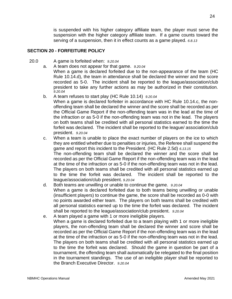is suspended with his higher category affiliate team, the player must serve the suspension with the higher category affiliate team. If a game counts toward the serving of a suspension, then it in effect counts as a game played. *6.8.13*

#### **SECTION 20 - FORFEITURE POLICY**

- 20.0 A game is forfeited when: *9.20.04*
	- a. A team does not appear for that game. *9.20.04* When a game is declared forfeited due to the non-appearance of the team (HC Rule 10.14.d), the team in attendance shall be declared the winner and the score

recorded as 5-0. The incident shall be reported to the league/association/club president to take any further actions as may be authorized in their constitution. *9.20.04*

b. A team refuses to start play (HC Rule 10.14) *9.20.04*

When a game is declared forfeiter in accordance with HC Rule 10.14.c, the nonoffending team shall be declared the winner and the score shall be recorded as per the Official Game Report if the non-offending team was in the lead at the time of the infraction or as 5-0 if the non-offending team was not in the lead. The players on both teams shall be credited with all personal statistics earned to the time the forfeit was declared. The incident shall be reported to the league/ association/club president. *9.20.04*

- c. When a team is unable to place the exact number of players on the ice to which they are entitled whether due to penalties or injuries, the Referee shall suspend the game and report this incident to the President. (HC Rule 2.5d) *6.13.15* The non-offending team shall be declared the winner and the score shall be recorded as per the Official Game Report if the non-offending team was in the lead at the time of the infraction or as 5-0 if the non-offending team was not in the lead. The players on both teams shall be credited with all personal statistics earned up to the time the forfeit was declared. The incident shall be reported to the league/association/club president. *9.20.04*
- d. Both teams are unwilling or unable to continue the game. *9.20.04* When a game is declared forfeited due to both teams being unwilling or unable (insufficient players) to continue the game, the score shall be recorded as 0-0 with no points awarded either team. The players on both teams shall be credited with all personal statistics earned up to the time the forfeit was declared. The incident shall be reported to the league/association/club president. *9.20.04*
- e. A team played a game with 1 or more ineligible players. When a game is declared forfeited due to a team playing with 1 or more ineligible players, the non-offending team shall be declared the winner and score shall be recorded as per the Official Game Report if the non-offending team was in the lead at the time of the infraction or as 5-0 if the non-offending team was not in the lead. The players on both teams shall be credited with all personal statistics earned up to the time the forfeit was declared. Should the game in question be part of a tournament, the offending team shall automatically be relegated to the final position in the tournament standings. The use of an ineligible player shall be reported to the Branch Executive Director. *9.20.04*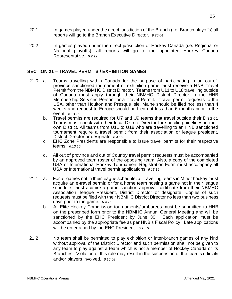- 20.1 In games played under the direct jurisdiction of the Branch (i.e. Branch playoffs) all reports will go to the Branch Executive Director. *9.20.04*
- 20.2 In games played under the direct jurisdiction of Hockey Canada (i.e. Regional or National playoffs), all reports will go to the appointed Hockey Canada Representative. *6.2.12*

#### **SECTION 21 – TRAVEL PERMITS / EXHIBITION GAMES**

- 21.0 a. Teams travelling within Canada for the purpose of participating in an out-ofprovince sanctioned tournament or exhibition game must receive a HNB Travel Permit from the NBMHC District Director. Teams from U11 to U18 travelling outside of Canada must apply through their NBMHC District Director to the HNB Membership Services Person for a Travel Permit. Travel permit requests to the USA, other than Houlton and Presque Isle, Maine should be filed not less than 4 weeks and request to Europe should be filed not less than 6 months prior to the event. *6.13.15*
	- b. Travel permits are required for U7 and U9 teams that travel outside their District. Teams must check with their local District Director for specific guidelines in their own District. All teams from U11 to U18 who are travelling to an HNB sanctioned tournament require a travel permit from their association or league president, District Director or designate. *6.4.16*
	- c. EHC Zone Presidents are responsible to issue travel permits for their respective teams. *6.13.10*
	- d. All out of province and out of Country travel permit requests must be accompanied by an approved team roster of the opposing team. Also, a copy of the completed USA or International Hockey Tournament Registration Form must accompany all USA or International travel permit applications. *6.13.15*
- 21.1 a. For all games not in their league schedule, all travelling teams in Minor hockey must acquire an e-travel permit; or for a home team hosting a game not in their league schedule, must acquire a game sanction approval certificate from their NBMHC Association, league President, District Director or designate. Copies of such requests must be filed with their NBMHC District Director no less than two business days prior to the game. *6.4.16*
	- b. All Elite Hockey Commission tournaments/jamborees must be submitted to HNB on the prescribed form prior to the NBMHC Annual General Meeting and will be sanctioned by the EHC President by June 30. Each application must be accompanied by the appropriate fee as per HNB's Fiscal Policy. Late applications will be entertained by the EHC President. *6.13.10*
- 21.2 No team shall be permitted to play exhibition or inter-branch games of any kind without approval of the District Director and such permission shall not be given to any team to play against a team which is not a member of Hockey Canada or its Branches. Violation of this rule may result in the suspension of the team's officials and/or players involved. *6.15.08*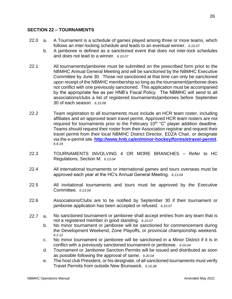#### **SECTION 22 – TOURNAMENTS**

- 22.0 a. A Tournament is a schedule of games played among three or more teams, which follows an inter-locking schedule and leads to an eventual winner. *6.10.07*
	- b. A jamboree is defined as a sanctioned event that does not inter-lock schedules and does not lead to a winner. *6.10.07*
- 22.1 All tournaments/jamboree must be submitted on the prescribed form prior to the NBMHC Annual General Meeting and will be sanctioned by the NBMHC Executive Committee by June 30. Those not sanctioned at that time can only be sanctioned upon receipt of the NBMHC membership so long as the tournament/jamboree does not conflict with one previously sanctioned. This application must be accompanied by the appropriate fee as per HNB's Fiscal Policy. The NBMHC will send to all associations/clubs a list of registered tournaments/jamborees before September 30 of each season. *6.15.08*
- 22.2 Team registration to all tournaments must include an HCR team roster, including affiliates and an approved team travel permit. Approved HCR team rosters are not required for tournaments prior to the February  $10<sup>th</sup>$  "C" player addition deadline. Teams should request their roster from their Association registrar and request their travel permit from their local NBMHC District Director, EDZA Chair, or designate via the e-permit site **<http://www.hnb.ca/en/minor-hockey/forms/etravel-permit>**. *6.8.19*
- 22.3 TOURNAMENTS INVOLVING 4 OR MORE BRANCHES Refer to HC Regulations, Section M. *6.13.04*
- 22.4 All international tournaments or international games and tours overseas must be approved each year at the HC's Annual General Meeting. *6.13.04*
- 22.5 All invitational tournaments and tours must be approved by the Executive Committee. *6.13.04*
- 22.6 Associations/Clubs are to be notified by September 30 if their tournament or jamboree application has been accepted or refused. *6.10.07*
- 22.7 a. No sanctioned tournament or jamboree shall accept entries from any team that is not a registered member in good standing. *6.10.07*
	- b. No minor tournament or jamboree will be sanctioned for commencement during the Development Weekend, Zone Playoffs, or provincial championship weekend. *6.2.12*
	- c. No minor tournament or jamboree will be sanctioned in a Minor District if it is in conflict with a previously sanctioned tournament or jamboree. *9.20.04*
	- d. Tournament or Jamboree Sanction Permits will be issued and distributed as soon as possible following the approval of same. *9.20.04*
	- e. The host club President, or his designate, of all sanctioned tournaments must verify Travel Permits from outside New Brunswick. *6.15.08*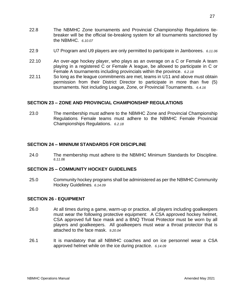- 22.8 The NBMHC Zone tournaments and Provincial Championship Regulations tiebreaker will be the official tie-breaking system for all tournaments sanctioned by the NBMHC. *6.10.07*
- 22.9 U7 Program and U9 players are only permitted to participate in Jamborees. *6.11.06*
- 22.10 An over-age hockey player, who plays as an overage on a C or Female A team playing in a registered C or Female A league, be allowed to participate in C or Female A tournaments including provincials within the province. *6.2.18*
- 22.11 So long as the league commitments are met, teams in U11 and above must obtain permission from their District Director to participate in more than five (5) tournaments. Not including League, Zone, or Provincial Tournaments. *6.4.16*

#### **SECTION 23 – ZONE AND PROVINCIAL CHAMPIONSHIP REGULATIONS**

23.0 The membership must adhere to the NBMHC Zone and Provincial Championship Regulations. Female teams must adhere to the NBMHC Female Provincial Championships Regulations. *6.2.18*

#### **SECTION 24 – MININUM STANDARDS FOR DISCIPLINE**

24.0 The membership must adhere to the NBMHC Minimum Standards for Discipline. *6.11.06*

#### **SECTION 25 – COMMUNITY HOCKEY GUIDELINES**

25.0 Community hockey programs shall be administered as per the NBMHC Community Hockey Guidelines. *6.14.09*

#### **SECTION 26 - EQUIPMENT**

- 26.0 At all times during a game, warm-up or practice, all players including goalkeepers must wear the following protective equipment: A CSA approved hockey helmet, CSA approved full face mask and a BNQ Throat Protector must be worn by all players and goalkeepers. All goalkeepers must wear a throat protector that is attached to the face mask. *9.20.04*
- 26.1 It is mandatory that all NBMHC coaches and on ice personnel wear a CSA approved helmet while on the ice during practice. *6.14.09*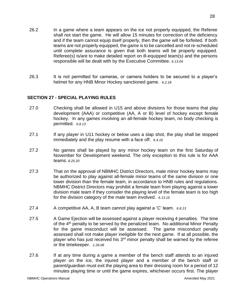- 26.2 In a game where a team appears on the ice not properly equipped, the Referee shall not start the game. He will allow 15 minutes for correction of the deficiency and if the team cannot equip itself properly, then the game will be forfeited. If both teams are not properly equipped, the game is to be cancelled and not re-scheduled until complete assurance is given that both teams will be properly equipped. Referee(s) is/are to make detailed report on ill-equipped team(s) and the persons responsible will be dealt with by the Executive Committee. *6.13.04*
- 26.3 It is not permitted for cameras, or camera holders to be secured to a player's helmet for any HNB Minor Hockey sanctioned game. *6.2.18*

#### **SECTION 27 - SPECIAL PLAYING RULES**

- 27.0 Checking shall be allowed in U15 and above divisions for those teams that play development (AAA) or competitive (AA, A or B) level of hockey except female hockey. In any games involving an all-female hockey team, no body checking is permitted. *6.8.13*
- 27.1 If any player in U11 hockey or below uses a slap shot, the play shall be stopped immediately and the play resume with a face off. *6.4.16*
- 27.2 No games shall be played by any minor hockey team on the first Saturday of November for Development weekend. The only exception to this rule is for AAA teams. *8.25.20*
- 27.3 That on the approval of NBMHC District Directors, male minor hockey teams may be authorized to play against all-female minor teams of the same division or one lower division than the female team, in accordance to HNB rules and regulations. NBMHC District Directors may prohibit a female team from playing against a lower division male team if they consider the playing level of the female team is too high for the division category of the male team involved. *6.13.15*
- 27.4 A competitive AA, A, B team cannot play against a 'C' team. *6.8.13*
- 27.5 A Game Ejection will be assessed against a player receiving 4 penalties. The time of the 4th penalty to be served by the penalized team. No additional Minor Penalty for the game misconduct will be assessed. The game misconduct penalty assessed shall not make player ineligible for the next game. If at all possible, the player who has just received his  $3<sup>rd</sup>$  minor penalty shall be warned by the referee or the timekeeper. *1.26.08*
- 27.6 If at any time during a game a member of the bench staff attends to an injured player on the ice, the injured player and a member of the bench staff or parent/guardian must exit the playing area to their dressing room for a period of 12 minutes playing time or until the game expires, whichever occurs first. The player